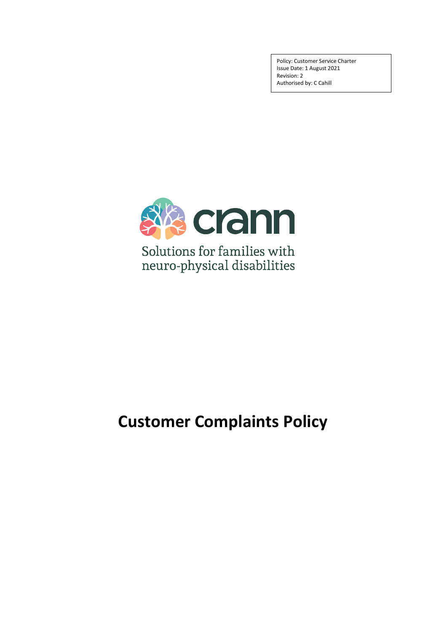Policy: Customer Service Charter Issue Date: 1 August 2021 Revision: 2 Authorised by: C Cahill



# **Customer Complaints Policy**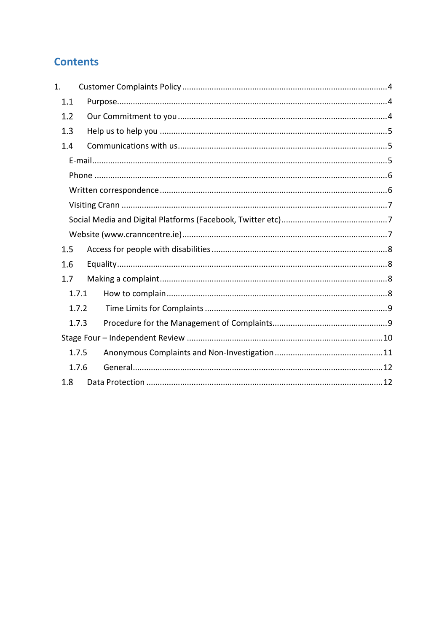## **Contents**

| 1.    |       |  |
|-------|-------|--|
| 1.1   |       |  |
| 1.2   |       |  |
| 1.3   |       |  |
| 1.4   |       |  |
|       |       |  |
|       |       |  |
|       |       |  |
|       |       |  |
|       |       |  |
|       |       |  |
| 1.5   |       |  |
| 1.6   |       |  |
| 1.7   |       |  |
|       | 1.7.1 |  |
|       | 1.7.2 |  |
|       | 1.7.3 |  |
|       |       |  |
| 1.7.5 |       |  |
| 1.7.6 |       |  |
| 1.8   |       |  |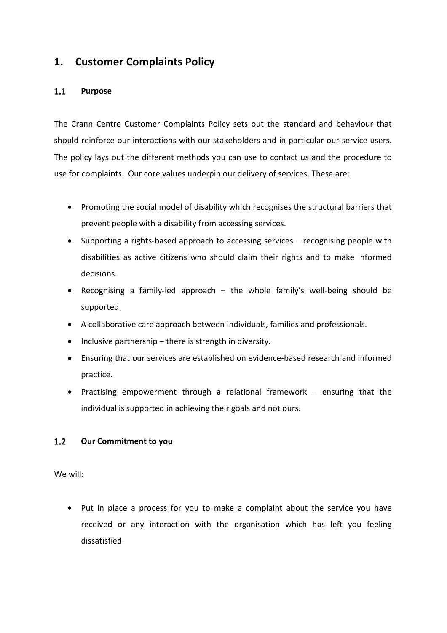### <span id="page-2-0"></span>**1. Customer Complaints Policy**

### <span id="page-2-1"></span> $1.1$ **Purpose**

The Crann Centre Customer Complaints Policy sets out the standard and behaviour that should reinforce our interactions with our stakeholders and in particular our service users. The policy lays out the different methods you can use to contact us and the procedure to use for complaints. Our core values underpin our delivery of services. These are:

- Promoting the social model of disability which recognises the structural barriers that prevent people with a disability from accessing services.
- Supporting a rights-based approach to accessing services recognising people with disabilities as active citizens who should claim their rights and to make informed decisions.
- Recognising a family-led approach the whole family's well-being should be supported.
- A collaborative care approach between individuals, families and professionals.
- Inclusive partnership there is strength in diversity.
- Ensuring that our services are established on evidence-based research and informed practice.
- Practising empowerment through a relational framework ensuring that the individual is supported in achieving their goals and not ours.

### <span id="page-2-2"></span> $1.2$ **Our Commitment to you**

We will:

• Put in place a process for you to make a complaint about the service you have received or any interaction with the organisation which has left you feeling dissatisfied.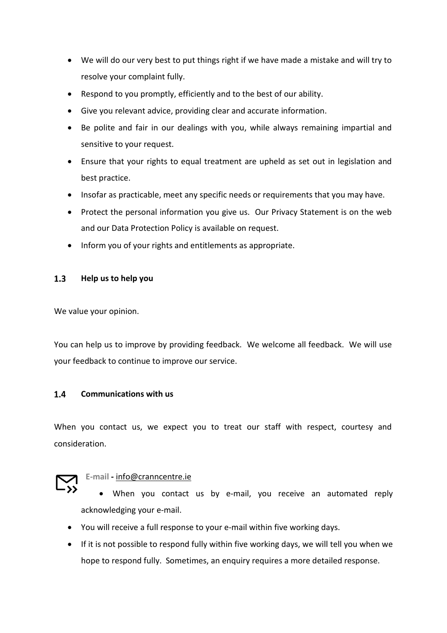- We will do our very best to put things right if we have made a mistake and will try to resolve your complaint fully.
- Respond to you promptly, efficiently and to the best of our ability.
- Give you relevant advice, providing clear and accurate information.
- Be polite and fair in our dealings with you, while always remaining impartial and sensitive to your request.
- Ensure that your rights to equal treatment are upheld as set out in legislation and best practice.
- Insofar as practicable, meet any specific needs or requirements that you may have.
- Protect the personal information you give us. Our Privacy Statement is on the web and our Data Protection Policy is available on request.
- Inform you of your rights and entitlements as appropriate.

#### <span id="page-3-0"></span> $1.3$ **Help us to help you**

We value your opinion.

You can help us to improve by providing feedback. We welcome all feedback. We will use your feedback to continue to improve our service.

#### <span id="page-3-1"></span> $1.4$ **Communications with us**

When you contact us, we expect you to treat our staff with respect, courtesy and consideration.

### <span id="page-3-2"></span>**E-mail -** [info@cranncentre.ie](mailto:info@cranncentre.ie)

- When you contact us by e-mail, you receive an automated reply acknowledging your e-mail.
- You will receive a full response to your e-mail within five working days.
- If it is not possible to respond fully within five working days, we will tell you when we hope to respond fully. Sometimes, an enquiry requires a more detailed response.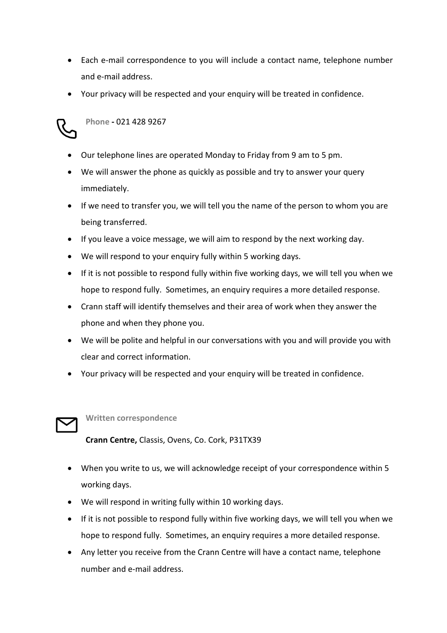- Each e-mail correspondence to you will include a contact name, telephone number and e-mail address.
- Your privacy will be respected and your enquiry will be treated in confidence.



### <span id="page-4-0"></span>**Phone -** 021 428 9267

- Our telephone lines are operated Monday to Friday from 9 am to 5 pm.
- We will answer the phone as quickly as possible and try to answer your query immediately.
- If we need to transfer you, we will tell you the name of the person to whom you are being transferred.
- If you leave a voice message, we will aim to respond by the next working day.
- We will respond to your enquiry fully within 5 working days.
- If it is not possible to respond fully within five working days, we will tell you when we hope to respond fully. Sometimes, an enquiry requires a more detailed response.
- Crann staff will identify themselves and their area of work when they answer the phone and when they phone you.
- We will be polite and helpful in our conversations with you and will provide you with clear and correct information.
- Your privacy will be respected and your enquiry will be treated in confidence.



### <span id="page-4-1"></span>**Written correspondence**

**Crann Centre,** Classis, Ovens, Co. Cork, P31TX39

- When you write to us, we will acknowledge receipt of your correspondence within 5 working days.
- We will respond in writing fully within 10 working days.
- If it is not possible to respond fully within five working days, we will tell you when we hope to respond fully. Sometimes, an enquiry requires a more detailed response.
- Any letter you receive from the Crann Centre will have a contact name, telephone number and e-mail address.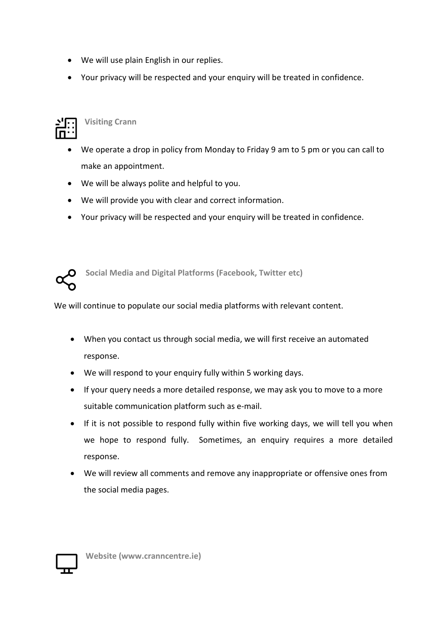- We will use plain English in our replies.
- Your privacy will be respected and your enquiry will be treated in confidence.



### <span id="page-5-0"></span>**Visiting Crann**

- We operate a drop in policy from Monday to Friday 9 am to 5 pm or you can call to make an appointment.
- We will be always polite and helpful to you.
- We will provide you with clear and correct information.
- Your privacy will be respected and your enquiry will be treated in confidence.



<span id="page-5-1"></span>**Social Media and Digital Platforms (Facebook, Twitter etc)**

We will continue to populate our social media platforms with relevant content.

- When you contact us through social media, we will first receive an automated response.
- We will respond to your enquiry fully within 5 working days.
- If your query needs a more detailed response, we may ask you to move to a more suitable communication platform such as e-mail.
- If it is not possible to respond fully within five working days, we will tell you when we hope to respond fully. Sometimes, an enquiry requires a more detailed response.
- We will review all comments and remove any inappropriate or offensive ones from the social media pages.



<span id="page-5-2"></span>**Website (www.cranncentre.ie)**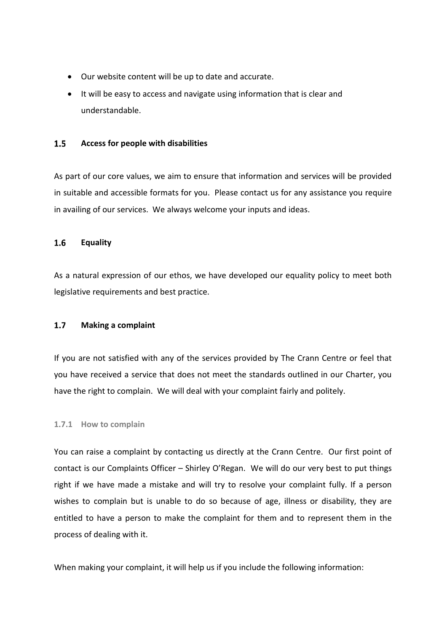- Our website content will be up to date and accurate.
- It will be easy to access and navigate using information that is clear and understandable.

#### <span id="page-6-0"></span> $1.5$ **Access for people with disabilities**

As part of our core values, we aim to ensure that information and services will be provided in suitable and accessible formats for you. Please contact us for any assistance you require in availing of our services. We always welcome your inputs and ideas.

#### <span id="page-6-1"></span> $1.6$ **Equality**

As a natural expression of our ethos, we have developed our equality policy to meet both legislative requirements and best practice.

#### <span id="page-6-2"></span> $1.7$ **Making a complaint**

If you are not satisfied with any of the services provided by The Crann Centre or feel that you have received a service that does not meet the standards outlined in our Charter, you have the right to complain. We will deal with your complaint fairly and politely.

### <span id="page-6-3"></span>**1.7.1 How to complain**

You can raise a complaint by contacting us directly at the Crann Centre. Our first point of contact is our Complaints Officer – Shirley O'Regan. We will do our very best to put things right if we have made a mistake and will try to resolve your complaint fully. If a person wishes to complain but is unable to do so because of age, illness or disability, they are entitled to have a person to make the complaint for them and to represent them in the process of dealing with it.

When making your complaint, it will help us if you include the following information: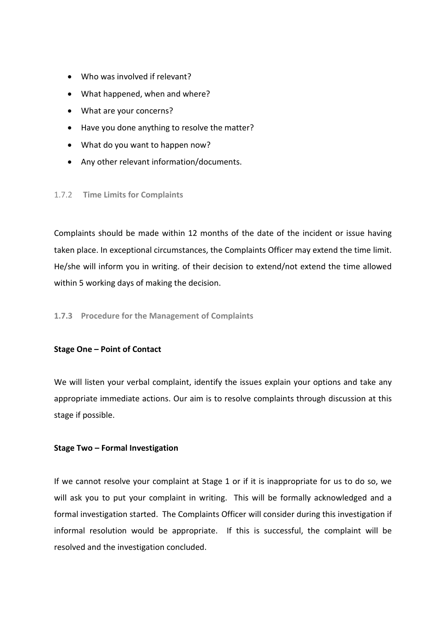- Who was involved if relevant?
- What happened, when and where?
- What are your concerns?
- Have you done anything to resolve the matter?
- What do you want to happen now?
- Any other relevant information/documents.

### <span id="page-7-0"></span>1.7.2 **Time Limits for Complaints**

Complaints should be made within 12 months of the date of the incident or issue having taken place. In exceptional circumstances, the Complaints Officer may extend the time limit. He/she will inform you in writing. of their decision to extend/not extend the time allowed within 5 working days of making the decision.

### <span id="page-7-1"></span>**1.7.3 Procedure for the Management of Complaints**

### **Stage One – Point of Contact**

We will listen your verbal complaint, identify the issues explain your options and take any appropriate immediate actions. Our aim is to resolve complaints through discussion at this stage if possible.

### **Stage Two – Formal Investigation**

If we cannot resolve your complaint at Stage 1 or if it is inappropriate for us to do so, we will ask you to put your complaint in writing. This will be formally acknowledged and a formal investigation started. The Complaints Officer will consider during this investigation if informal resolution would be appropriate. If this is successful, the complaint will be resolved and the investigation concluded.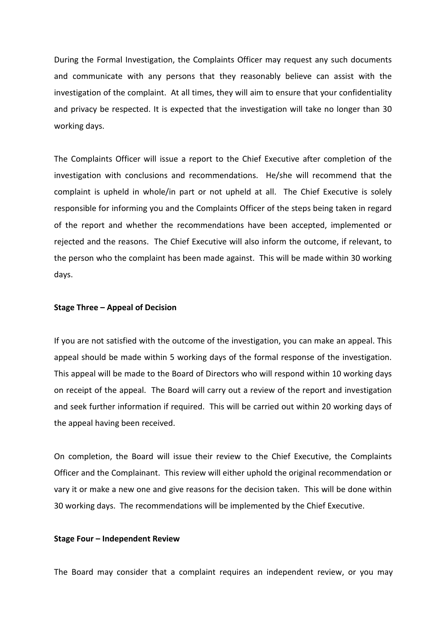During the Formal Investigation, the Complaints Officer may request any such documents and communicate with any persons that they reasonably believe can assist with the investigation of the complaint. At all times, they will aim to ensure that your confidentiality and privacy be respected. It is expected that the investigation will take no longer than 30 working days.

The Complaints Officer will issue a report to the Chief Executive after completion of the investigation with conclusions and recommendations. He/she will recommend that the complaint is upheld in whole/in part or not upheld at all. The Chief Executive is solely responsible for informing you and the Complaints Officer of the steps being taken in regard of the report and whether the recommendations have been accepted, implemented or rejected and the reasons. The Chief Executive will also inform the outcome, if relevant, to the person who the complaint has been made against. This will be made within 30 working days.

### **Stage Three – Appeal of Decision**

If you are not satisfied with the outcome of the investigation, you can make an appeal. This appeal should be made within 5 working days of the formal response of the investigation. This appeal will be made to the Board of Directors who will respond within 10 working days on receipt of the appeal. The Board will carry out a review of the report and investigation and seek further information if required. This will be carried out within 20 working days of the appeal having been received.

On completion, the Board will issue their review to the Chief Executive, the Complaints Officer and the Complainant. This review will either uphold the original recommendation or vary it or make a new one and give reasons for the decision taken. This will be done within 30 working days. The recommendations will be implemented by the Chief Executive.

### <span id="page-8-0"></span>**Stage Four – Independent Review**

The Board may consider that a complaint requires an independent review, or you may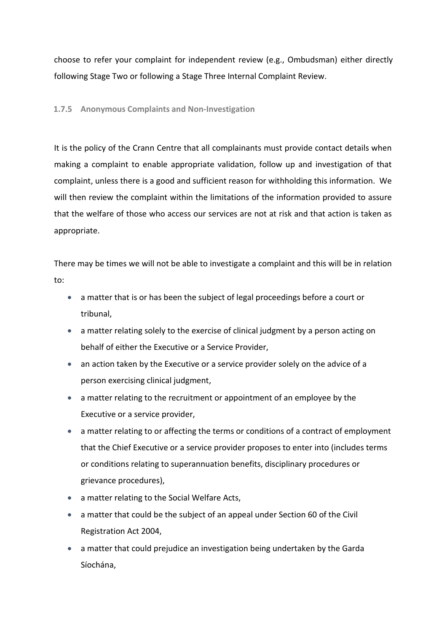choose to refer your complaint for independent review (e.g., Ombudsman) either directly following Stage Two or following a Stage Three Internal Complaint Review.

### <span id="page-9-0"></span>**1.7.5 Anonymous Complaints and Non-Investigation**

It is the policy of the Crann Centre that all complainants must provide contact details when making a complaint to enable appropriate validation, follow up and investigation of that complaint, unless there is a good and sufficient reason for withholding this information. We will then review the complaint within the limitations of the information provided to assure that the welfare of those who access our services are not at risk and that action is taken as appropriate.

There may be times we will not be able to investigate a complaint and this will be in relation to:

- a matter that is or has been the subject of legal proceedings before a court or tribunal,
- a matter relating solely to the exercise of clinical judgment by a person acting on behalf of either the Executive or a Service Provider,
- an action taken by the Executive or a service provider solely on the advice of a person exercising clinical judgment,
- a matter relating to the recruitment or appointment of an employee by the Executive or a service provider,
- a matter relating to or affecting the terms or conditions of a contract of employment that the Chief Executive or a service provider proposes to enter into (includes terms or conditions relating to superannuation benefits, disciplinary procedures or grievance procedures),
- a matter relating to the Social Welfare Acts,
- a matter that could be the subject of an appeal under Section 60 of the Civil Registration Act 2004,
- a matter that could prejudice an investigation being undertaken by the Garda Síochána,